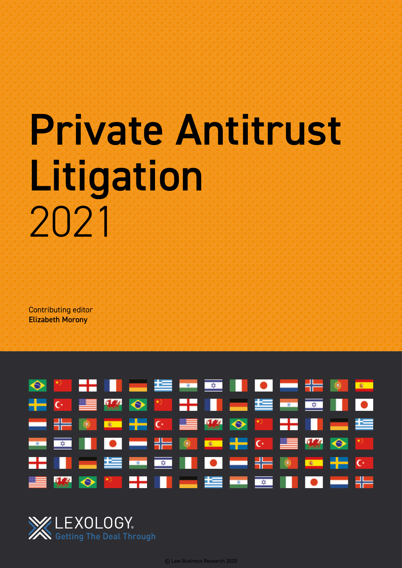# Private Antitrust Litigation 2021

Contributing editor Elizabeth Morony



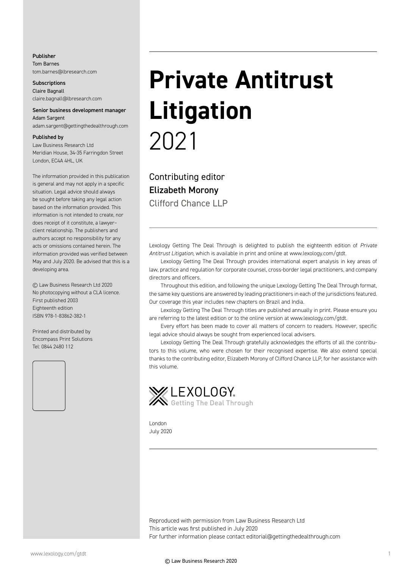#### Publisher Tom Barnes tom.barnes@lbresearch.com

**Subscriptions** Claire Bagnall claire.bagnall@lbresearch.com

#### Senior business development manager Adam Sargent

adam.sargent@gettingthedealthrough.com

#### Published by

Law Business Research Ltd Meridian House, 34-35 Farringdon Street London, EC4A 4HL, UK

The information provided in this publication is general and may not apply in a specific situation. Legal advice should always be sought before taking any legal action based on the information provided. This information is not intended to create, nor does receipt of it constitute, a lawyer– client relationship. The publishers and authors accept no responsibility for any acts or omissions contained herein. The information provided was verified between May and July 2020. Be advised that this is a developing area.

© Law Business Research Ltd 2020 No photocopying without a CLA licence. First published 2003 Eighteenth edition ISBN 978-1-83862-382-1

Printed and distributed by Encompass Print Solutions Tel: 0844 2480 112



## **Private Antitrust Litigation** 2021

Contributing editor Elizabeth Morony Clifford Chance LLP

Lexology Getting The Deal Through is delighted to publish the eighteenth edition of *Private Antitrust Litigation*, which is available in print and online at www.lexology.com/gtdt.

Lexology Getting The Deal Through provides international expert analysis in key areas of law, practice and regulation for corporate counsel, cross-border legal practitioners, and company directors and officers.

Throughout this edition, and following the unique Lexology Getting The Deal Through format, the same key questions are answered by leading practitioners in each of the jurisdictions featured. Our coverage this year includes new chapters on Brazil and India.

Lexology Getting The Deal Through titles are published annually in print. Please ensure you are referring to the latest edition or to the online version at www.lexology.com/gtdt.

Every effort has been made to cover all matters of concern to readers. However, specific legal advice should always be sought from experienced local advisers.

Lexology Getting The Deal Through gratefully acknowledges the efforts of all the contributors to this volume, who were chosen for their recognised expertise. We also extend special thanks to the contributing editor, Elizabeth Morony of Clifford Chance LLP, for her assistance with this volume.



London July 2020

Reproduced with permission from Law Business Research Ltd This article was first published in July 2020 For further information please contact editorial@gettingthedealthrough.com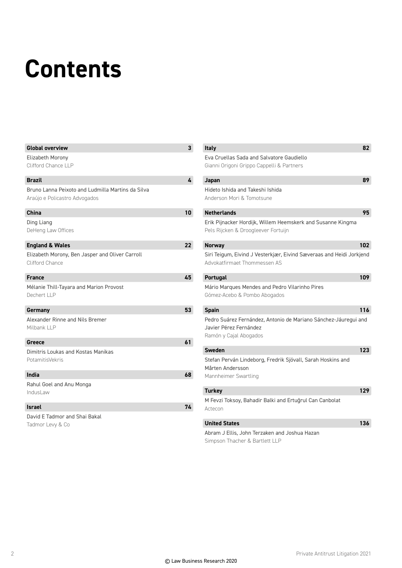### **Contents**

| <b>Global overview</b>                                                             | $\mathbf{3}$    | <b>Italy</b>                                                                                                        | 82  |
|------------------------------------------------------------------------------------|-----------------|---------------------------------------------------------------------------------------------------------------------|-----|
| Elizabeth Morony                                                                   |                 | Eva Cruellas Sada and Salvatore Gaudiello                                                                           |     |
| Clifford Chance LLP                                                                |                 | Gianni Origoni Grippo Cappelli & Partners                                                                           |     |
| <b>Brazil</b>                                                                      | 4               | Japan                                                                                                               | 89  |
| Bruno Lanna Peixoto and Ludmilla Martins da Silva<br>Araújo e Policastro Advogados |                 | Hideto Ishida and Takeshi Ishida<br>Anderson Mori & Tomotsune                                                       |     |
| <b>China</b>                                                                       | 10 <sup>°</sup> | <b>Netherlands</b>                                                                                                  | 95  |
| Ding Liang<br>DeHeng Law Offices                                                   |                 | Erik Pijnacker Hordijk, Willem Heemskerk and Susanne Kingma<br>Pels Rijcken & Droogleever Fortuijn                  |     |
| <b>England &amp; Wales</b>                                                         | 22              | <b>Norway</b>                                                                                                       | 102 |
| Elizabeth Morony, Ben Jasper and Oliver Carroll<br><b>Clifford Chance</b>          |                 | Siri Teigum, Eivind J Vesterkjær, Eivind Sæveraas and Heidi Jorkjend<br>Advokatfirmaet Thommessen AS                |     |
| <b>France</b>                                                                      | 45              | Portugal                                                                                                            | 109 |
| Mélanie Thill-Tayara and Marion Provost<br>Dechert LLP                             |                 | Mário Marques Mendes and Pedro Vilarinho Pires<br>Gómez-Acebo & Pombo Abogados                                      |     |
| Germany                                                                            | 53              | <b>Spain</b>                                                                                                        | 116 |
| Alexander Rinne and Nils Bremer<br>Milbank LLP                                     |                 | Pedro Suárez Fernández, Antonio de Mariano Sánchez-Jáuregui and<br>Javier Pérez Fernández<br>Ramón y Cajal Abogados |     |
| Greece                                                                             | 61              |                                                                                                                     |     |
| Dimitris Loukas and Kostas Manikas                                                 |                 | <b>Sweden</b>                                                                                                       | 123 |
| PotamitisVekris                                                                    |                 | Stefan Perván Lindeborg, Fredrik Sjövall, Sarah Hoskins and<br>Mårten Andersson                                     |     |
| India                                                                              | 68              | Mannheimer Swartling                                                                                                |     |
| Rahul Goel and Anu Monga                                                           |                 |                                                                                                                     | 129 |
| IndusLaw                                                                           |                 | <b>Turkey</b>                                                                                                       |     |
| <b>Israel</b>                                                                      | 74              | M Fevzi Toksoy, Bahadir Balki and Ertuğrul Can Canbolat<br>Actecon                                                  |     |
| David E Tadmor and Shai Bakal                                                      |                 |                                                                                                                     |     |
| Tadmor Levy & Co                                                                   |                 | <b>United States</b>                                                                                                | 136 |
|                                                                                    |                 | Abram J Ellis, John Terzaken and Joshua Hazan<br>Simpson Thacher & Bartlett LLP                                     |     |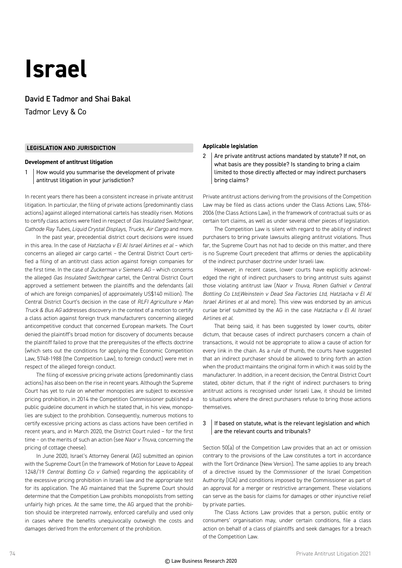### **Israel**

David E Tadmor and Shai Bakal

Tadmor Levy & Co

#### **LEGISLATION AND JURISDICTION**

#### **Development of antitrust litigation**

1 How would you summarise the development of private antitrust litigation in your jurisdiction?

In recent years there has been a consistent increase in private antitrust litigation. In particular, the filing of private actions (predominantly class actions) against alleged international cartels has steadily risen. Motions to certify class actions were filed in respect of *Gas Insulated Switchgear*, *Cathode Ray Tubes*, *Liquid Crystal Displays*, *Trucks*, *Air Cargo* and more.

In the past year, precedential district court decisions were issued in this area. In the case of *Hatzlacha v El Al Israel Airlines et al* – which concerns an alleged air cargo cartel – the Central District Court certified a filing of an antitrust class action against foreign companies for the first time. In the case of *Zuckerman v Siemens AG* – which concerns the alleged *Gas Insulated Switchgear* cartel, the Central District Court approved a settlement between the plaintiffs and the defendants (all of which are foreign companies) of approximately US\$140 million). The Central District Court's decision in the case of *RLFI Agriculture v Man Truck & Bus AG* addresses discovery in the context of a motion to certify a class action against foreign truck manufacturers concerning alleged anticompetitive conduct that concerned European markets. The Court denied the plaintiff's broad motion for discovery of documents because the plaintiff failed to prove that the prerequisites of the effects doctrine (which sets out the conditions for applying the Economic Competition Law, 5748-1988 (the Competition Law), to foreign conduct) were met in respect of the alleged foreign conduct.

The filing of excessive pricing private actions (predominantly class actions) has also been on the rise in recent years. Although the Supreme Court has yet to rule on whether monopolies are subject to excessive pricing prohibition, in 2014 the Competition Commissioner published a public guideline document in which he stated that, in his view, monopolies are subject to the prohibition. Consequently, numerous motions to certify excessive pricing actions as class actions have been certified in recent years, and in March 2020, the District Court ruled – for the first time – on the merits of such an action (see *Naor v Tnuva*, concerning the pricing of cottage cheese).

In June 2020, Israel's Attorney General (AG) submitted an opinion with the Supreme Court (in the framework of Motion for Leave to Appeal 1248/19 *Central Bottling Co v Gafniel*) regarding the applicability of the excessive pricing prohibition in Israeli law and the appropriate test for its application. The AG maintained that the Supreme Court should determine that the Competition Law prohibits monopolists from setting unfairly high prices. At the same time, the AG argued that the prohibition should be interpreted narrowly, enforced carefully and used only in cases where the benefits unequivocally outweigh the costs and damages derived from the enforcement of the prohibition.

#### **Applicable legislation**

2 Are private antitrust actions mandated by statute? If not, on what basis are they possible? Is standing to bring a claim limited to those directly affected or may indirect purchasers bring claims?

Private antitrust actions deriving from the provisions of the Competition Law may be filed as class actions under the Class Actions Law, 5766- 2006 (the Class Actions Law), in the framework of contractual suits or as certain tort claims, as well as under several other pieces of legislation.

The Competition Law is silent with regard to the ability of indirect purchasers to bring private lawsuits alleging antitrust violations. Thus far, the Supreme Court has not had to decide on this matter, and there is no Supreme Court precedent that affirms or denies the applicability of the indirect purchaser doctrine under Israeli law.

However, in recent cases, lower courts have explicitly acknowledged the right of indirect purchasers to bring antitrust suits against those violating antitrust law (*Naor v Tnuva*, *Ronen Gafniel v Central Bottling Co Ltd,Weinstein v Dead Sea Factories Ltd*, *Hatzlacha v El Al Israel Airlines et al* and more). This view was endorsed by an amicus curiae brief submitted by the AG in the case *Hatzlacha v El Al Israel Airlines et al*.

That being said, it has been suggested by lower courts, obiter dictum, that because cases of indirect purchasers concern a chain of transactions, it would not be appropriate to allow a cause of action for every link in the chain. As a rule of thumb, the courts have suggested that an indirect purchaser should be allowed to bring forth an action when the product maintains the original form in which it was sold by the manufacturer. In addition, in a recent decision, the Central District Court stated, obiter dictum, that if the right of indirect purchasers to bring antitrust actions is recognised under Israeli Law, it should be limited to situations where the direct purchasers refuse to bring those actions themselves.

#### $3$  | If based on statute, what is the relevant legislation and which are the relevant courts and tribunals?

Section 50(a) of the Competition Law provides that an act or omission contrary to the provisions of the Law constitutes a tort in accordance with the Tort Ordinance (New Version). The same applies to any breach of a directive issued by the Commissioner of the Israel Competition Authority (ICA) and conditions imposed by the Commissioner as part of an approval for a merger or restrictive arrangement. These violations can serve as the basis for claims for damages or other injunctive relief by private parties.

The Class Actions Law provides that a person, public entity or consumers' organisation may, under certain conditions, file a class action on behalf of a class of plaintiffs and seek damages for a breach of the Competition Law.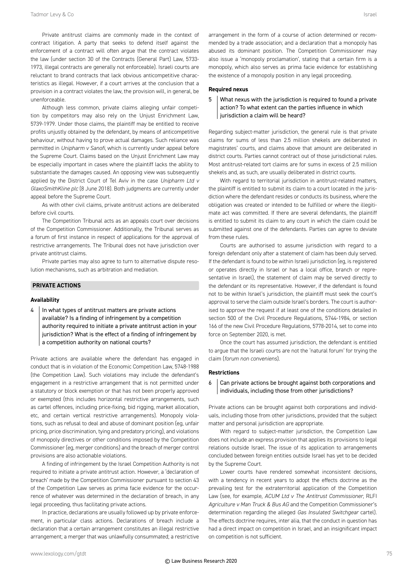Private antitrust claims are commonly made in the context of contract litigation. A party that seeks to defend itself against the enforcement of a contract will often argue that the contract violates the law (under section 30 of the Contracts (General Part) Law, 5733- 1973, illegal contracts are generally not enforceable). Israeli courts are reluctant to brand contracts that lack obvious anticompetitive characteristics as illegal. However, if a court arrives at the conclusion that a provision in a contract violates the law, the provision will, in general, be unenforceable.

Although less common, private claims alleging unfair competition by competitors may also rely on the Unjust Enrichment Law, 5739-1979. Under those claims, the plaintiff may be entitled to receive profits unjustly obtained by the defendant, by means of anticompetitive behaviour, without having to prove actual damages. Such reliance was permitted in *Unipharm v Sanofi*, which is currently under appeal before the Supreme Court. Claims based on the Unjust Enrichment Law may be especially important in cases where the plaintiff lacks the ability to substantiate the damages caused. An opposing view was subsequently applied by the District Court of Tel Aviv in the case *Unipharm Ltd v GlaxoSmithKline plc* (8 June 2018). Both judgments are currently under appeal before the Supreme Court.

As with other civil claims, private antitrust actions are deliberated before civil courts.

The Competition Tribunal acts as an appeals court over decisions of the Competition Commissioner. Additionally, the Tribunal serves as a forum of first instance in respect of applications for the approval of restrictive arrangements. The Tribunal does not have jurisdiction over private antitrust claims.

Private parties may also agree to turn to alternative dispute resolution mechanisms, such as arbitration and mediation.

#### **PRIVATE ACTIONS**

#### **Availability**

 $4$  | In what types of antitrust matters are private actions available? Is a finding of infringement by a competition authority required to initiate a private antitrust action in your jurisdiction? What is the effect of a finding of infringement by a competition authority on national courts?

Private actions are available where the defendant has engaged in conduct that is in violation of the Economic Competition Law, 5748-1988 (the Competition Law). Such violations may include the defendant's engagement in a restrictive arrangement that is not permitted under a statutory or block exemption or that has not been properly approved or exempted (this includes horizontal restrictive arrangements, such as cartel offences, including price-fixing, bid rigging, market allocation, etc, and certain vertical restrictive arrangements). Monopoly violations, such as refusal to deal and abuse of dominant position (eg, unfair pricing, price discrimination, tying and predatory pricing), and violations of monopoly directives or other conditions imposed by the Competition Commissioner (eg, merger conditions) and the breach of merger control provisions are also actionable violations.

A finding of infringement by the Israel Competition Authority is not required to initiate a private antitrust action. However, a 'declaration of breach' made by the Competition Commissioner pursuant to section 43 of the Competition Law serves as prima facie evidence for the occurrence of whatever was determined in the declaration of breach, in any legal proceeding, thus facilitating private actions.

In practice, declarations are usually followed up by private enforcement, in particular class actions. Declarations of breach include a declaration that a certain arrangement constitutes an illegal restrictive arrangement; a merger that was unlawfully consummated; a restrictive arrangement in the form of a course of action determined or recommended by a trade association; and a declaration that a monopoly has abused its dominant position. The Competition Commissioner may also issue a 'monopoly proclamation', stating that a certain firm is a monopoly, which also serves as prima facie evidence for establishing the existence of a monopoly position in any legal proceeding.

#### **Required nexus**

#### 5 What nexus with the jurisdiction is required to found a private action? To what extent can the parties influence in which jurisdiction a claim will be heard?

Regarding subject-matter jurisdiction, the general rule is that private claims for sums of less than 2.5 million shekels are deliberated in magistrates' courts, and claims above that amount are deliberated in district courts. Parties cannot contract out of those jurisdictional rules. Most antitrust-related tort claims are for sums in excess of 2.5 million shekels and, as such, are usually deliberated in district courts.

With regard to territorial jurisdiction in antitrust-related matters, the plaintiff is entitled to submit its claim to a court located in the jurisdiction where the defendant resides or conducts its business, where the obligation was created or intended to be fulfilled or where the illegitimate act was committed. If there are several defendants, the plaintiff is entitled to submit its claim to any court in which the claim could be submitted against one of the defendants. Parties can agree to deviate from these rules.

Courts are authorised to assume jurisdiction with regard to a foreign defendant only after a statement of claim has been duly served. If the defendant is found to be within Israeli jurisdiction (eg, is registered or operates directly in Israel or has a local office, branch or representative in Israel), the statement of claim may be served directly to the defendant or its representative. However, if the defendant is found not to be within Israel's jurisdiction, the plaintiff must seek the court's approval to serve the claim outside Israel's borders. The court is authorised to approve the request if at least one of the conditions detailed in section 500 of the Civil Procedure Regulations, 5744-1984, or section 166 of the new Civil Procedure Regulations, 5778-2014, set to come into force on September 2020, is met.

Once the court has assumed jurisdiction, the defendant is entitled to argue that the Israeli courts are not the 'natural forum' for trying the claim (*forum non conveniens*).

#### **Restrictions**

#### $6 \mid$  Can private actions be brought against both corporations and individuals, including those from other jurisdictions?

Private actions can be brought against both corporations and individuals, including those from other jurisdictions, provided that the subject matter and personal jurisdiction are appropriate.

With regard to subject-matter jurisdiction, the Competition Law does not include an express provision that applies its provisions to legal relations outside Israel. The issue of its application to arrangements concluded between foreign entities outside Israel has yet to be decided by the Supreme Court.

Lower courts have rendered somewhat inconsistent decisions, with a tendency in recent years to adopt the effects doctrine as the prevailing test for the extraterritorial application of the Competition Law (see, for example, *ACUM Ltd v The Antitrust Commissioner*, RLFI *Agriculture v Man Truck & Bus AG* and the Competition Commissioner's determination regarding the alleged *Gas Insulated Switchgear* cartel). The effects doctrine requires, inter alia, that the conduct in question has had a direct impact on competition in Israel, and an insignificant impact on competition is not sufficient.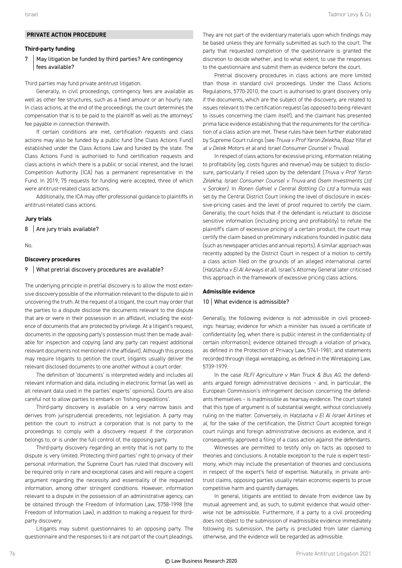#### **PRIVATE ACTION PROCEDURE**

#### **Third-party funding**

#### 7 | May litigation be funded by third parties? Are contingency fees available?

Third parties may fund private antitrust litigation.

Generally, in civil proceedings, contingency fees are available as well as other fee structures, such as a fixed amount or an hourly rate. In class actions, at the end of the proceedings, the court determines the compensation that is to be paid to the plaintiff as well as the attorneys' fee payable in connection therewith.

If certain conditions are met, certification requests and class actions may also be funded by a public fund (the Class Actions Fund) established under the Class Actions Law and funded by the state. The Class Actions Fund is authorised to fund certification requests and class actions in which there is a public or social interest, and the Israel Competition Authority (ICA) has a permanent representative in the Fund. In 2019, 75 requests for funding were accepted, three of which were antitrust-related class actions.

Additionally, the ICA may offer professional guidance to plaintiffs in antitrust-related class actions.

#### **Jury trials**

 $8$  Are jury trials available?

No.

#### **Discovery procedures**

#### 9 What pretrial discovery procedures are available?

The underlying principle in pretrial discovery is to allow the most extensive discovery possible of the information relevant to the dispute to aid in uncovering the truth. At the request of a litigant, the court may order that the parties to a dispute disclose the documents relevant to the dispute that are or were in their possession in an affidavit, including the existence of documents that are protected by privilege. At a litigant's request, documents in the opposing party's possession must then be made available for inspection and copying (and any party can request additional relevant documents not mentioned in the affidavit). Although this process may require litigants to petition the court, litigants usually deliver the relevant disclosed documents to one another without a court order.

The definition of 'documents' is interpreted widely and includes all relevant information and data, including in electronic format (as well as all relevant data used in the parties' experts' opinions). Courts are also careful not to allow parties to embark on 'fishing expeditions'.

Third-party discovery is available on a very narrow basis and derives from jurisprudential precedents, not legislation. A party may petition the court to instruct a corporation that is not party to the proceedings to comply with a discovery request if the corporation belongs to, or is under the full control of, the opposing party.

Third-party discovery regarding an entity that is not party to the dispute is very limited. Protecting third parties' right to privacy of their personal information, the Supreme Court has ruled that discovery will be required only in rare and exceptional cases and will require a cogent argument regarding the necessity and essentiality of the requested information, among other stringent conditions. However, information relevant to a dispute in the possession of an administrative agency, can be obtained through the Freedom of Information Law, 5758-1998 (the Freedom of Information Law), in addition to making a request for thirdparty discovery.

Litigants may submit questionnaires to an opposing party. The questionnaire and the responses to it are not part of the court pleadings.

They are not part of the evidentiary materials upon which findings may be based unless they are formally submitted as such to the court. The party that requested completion of the questionnaire is granted the discretion to decide whether, and to what extent, to use the responses to the questionnaire and submit them as evidence before the court.

Pretrial discovery procedures in class actions are more limited than those in standard civil proceedings. Under the Class Actions Regulations, 5770-2010, the court is authorised to grant discovery only if the documents*,* which are the subject of the discovery, are related to issues relevant to the certification request (as opposed to being relevant to issues concerning the claim itself), and the claimant has presented prima facie evidence establishing that the requirements for the certification of a class action are met. These rules have been further elaborated by Supreme Court rulings (see *Tnuva v Prof Yaron Zelekha, Boaz Yifat et al v Delek Motors et al* and *Israel Consumer Counsel v Tnuva*).

In respect of class actions for excessive pricing, information relating to profitability (eg, costs figures and revenue) may be subject to disclosure, particularly if relied upon by the defendant (*Tnuva v Prof Yaron Zelekha, Israel Consumer Counsel v Tnuva* and *Osem Investments Ltd v Soroker)*. In *Ronen Gafniel v Central Bottling Co Ltd* a formula was set by the Central District Court linking the level of disclosure in excessive-pricing cases and the level of proof required to certify the claim. Generally, the court holds that if the defendant is reluctant to disclose sensitive information (including pricing and profitability) to refute the plaintiff's claim of excessive pricing of a certain product, the court may certify the claim based on preliminary indications founded in public data (such as newspaper articles and annual reports). A similar approach was recently adopted by the District Court in respect of a motion to certify a class action filed on the grounds of an alleged international cartel (*Hatzlacha v El Al Airways et al*). Israel's Attorney General later criticised this approach in the framework of excessive pricing class actions.

#### **Admissible evidence**

#### 10 What evidence is admissible?

Generally, the following evidence is not admissible in civil proceedings: hearsay; evidence for which a minister has issued a certificate of confidentiality (eg, when there is public interest in the confidentiality of certain information); evidence obtained through a violation of privacy, as defined in the Protection of Privacy Law, 5741-1981; and statements recorded through illegal wiretapping, as defined in the Wiretapping Law, 5739-1979.

In the case *RLFI Agriculture v Man Truck & Bus AG*, the defendants argued foreign administrative decisions – and, in particular, the European Commission's infringement decision concerning the defendants themselves – is inadmissible as hearsay evidence. The court stated that this type of argument is of substantial weight, without conclusively ruling on the matter. Conversely, in *Hatzlacha v El Al Israel Airlines et al*, for the sake of the certification, the District Court accepted foreign court rulings and foreign administrative decisions as evidence, and it consequently approved a filing of a class action against the defendants.

Witnesses are permitted to testify only on facts as opposed to theories and conclusions. A notable exception to the rule is expert testimony, which may include the presentation of theories and conclusions in respect of the expert's field of expertise. Naturally, in private antitrust claims, opposing parties usually retain economic experts to prove competitive harm and quantify damages.

In general, litigants are entitled to deviate from evidence law by mutual agreement and, as such, to submit evidence that would otherwise not be admissible. Furthermore, if a party to a civil proceeding does not object to the submission of inadmissible evidence immediately following its submission, the party is precluded from later claiming otherwise, and the evidence will be regarded as admissible.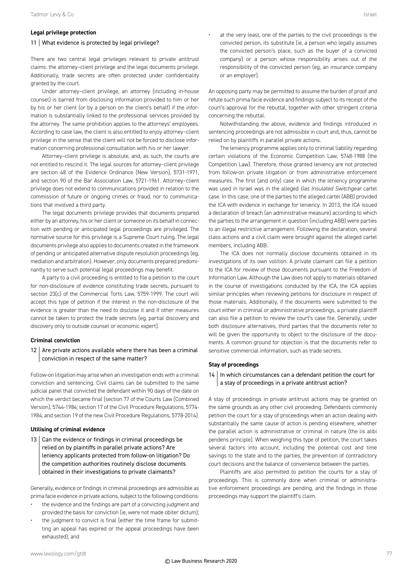#### **Legal privilege protection**

#### 11 What evidence is protected by legal privilege?

There are two central legal privileges relevant to private antitrust claims: the attorney–client privilege and the legal documents privilege. Additionally, trade secrets are often protected under confidentiality granted by the court.

Under attorney–client privilege, an attorney (including in-house counsel) is barred from disclosing information provided to him or her by his or her client (or by a person on the client's behalf) if the information is substantially linked to the professional services provided by the attorney. The same prohibition applies to the attorneys' employees. According to case law, the client is also entitled to enjoy attorney–client privilege in the sense that the client will not be forced to disclose information concerning professional consultation with his or her lawyer.

Attorney–client privilege is absolute, and, as such, the courts are not entitled to rescind it. The legal sources for attorney–client privilege are section 48 of the Evidence Ordinance (New Version), 5731-1971, and section 90 of the Bar Association Law, 5721-1961. Attorney–client privilege does not extend to communications provided in relation to the commission of future or ongoing crimes or fraud, nor to communications that involved a third party.

The legal documents privilege provides that documents prepared either by an attorney, his or her client or someone on its behalf in connection with pending or anticipated legal proceedings are privileged. The normative source for this privilege is a Supreme Court ruling. The legal documents privilege also applies to documents created in the framework of pending or anticipated alternative dispute resolution proceedings (eg, mediation and arbitration). However, only documents prepared predominantly to serve such potential legal proceedings may benefit.

A party to a civil proceeding is entitled to file a petition to the court for non-disclosure of evidence constituting trade secrets, pursuant to section 23(c) of the Commercial Torts Law, 5759-1999. The court will accept this type of petition if the interest in the non-disclosure of the evidence is greater than the need to disclose it and if other measures cannot be taken to protect the trade secrets (eg, partial discovery and discovery only to outside counsel or economic expert).

#### **Criminal conviction**

 $12$  Are private actions available where there has been a criminal conviction in respect of the same matter?

Follow-on litigation may arise when an investigation ends with a criminal conviction and sentencing. Civil claims can be submitted to the same judicial panel that convicted the defendant within 90 days of the date on which the verdict became final (section 77 of the Courts Law (Combined Version), 5744-1984; section 17 of the Civil Procedure Regulations, 5774- 1984; and section 19 of the new Civil Procedure Regulations, 5778-2014).

#### **Utilising of criminal evidence**

13  $\vert$  Can the evidence or findings in criminal proceedings be relied on by plaintiffs in parallel private actions? Are leniency applicants protected from follow-on litigation? Do the competition authorities routinely disclose documents obtained in their investigations to private claimants?

Generally, evidence or findings in criminal proceedings are admissible as prima facie evidence in private actions, subject to the following conditions:

- the evidence and the findings are part of a convicting judgment and provided the basis for conviction (ie, were not made obiter dictum);
- the judgment to convict is final (either the time frame for submitting an appeal has expired or the appeal proceedings have been exhausted); and

at the very least, one of the parties to the civil proceedings is the convicted person, its substitute (ie, a person who legally assumes the convicted person's place, such as the buyer of a convicted company) or a person whose responsibility arises out of the responsibility of the convicted person (eg, an insurance company or an employer).

An opposing party may be permitted to assume the burden of proof and refute such prima facie evidence and findings subject to its receipt of the court's approval for the rebuttal, together with other stringent criteria concerning the rebuttal.

Notwithstanding the above, evidence and findings introduced in sentencing proceedings are not admissible in court and, thus, cannot be relied on by plaintiffs in parallel private actions.

The leniency programme applies only to criminal liability regarding certain violations of the Economic Competition Law, 5748-1988 (the Competition Law). Therefore, those granted leniency are not protected from follow-on private litigation or from administrative enforcement measures. The first (and only) case in which the leniency programme was used in Israel was in the alleged *Gas Insulated Switchgear* cartel case. In this case, one of the parties to the alleged cartel (ABB) provided the ICA with evidence in exchange for leniency. In 2013, the ICA issued a declaration of breach (an administrative measure) according to which the parties to the arrangement in question (including ABB) were parties to an illegal restrictive arrangement. Following the declaration, several class actions and a civil claim were brought against the alleged cartel members, including ABB.

The ICA does not normally disclose documents obtained in its investigations of its own volition. A private claimant can file a petition to the ICA for review of those documents pursuant to the Freedom of Information Law. Although the Law does not apply to materials obtained in the course of investigations conducted by the ICA, the ICA applies similar principles when reviewing petitions for disclosure in respect of those materials. Additionally, if the documents were submitted to the court either in criminal or administrative proceedings, a private plaintiff can also file a petition to review the court's case file. Generally, under both disclosure alternatives, third parties that the documents refer to will be given the opportunity to object to the disclosure of the documents. A common ground for objection is that the documents refer to sensitive commercial information, such as trade secrets.

#### **Stay of proceedings**

 $14$  In which circumstances can a defendant petition the court for a stay of proceedings in a private antitrust action?

A stay of proceedings in private antitrust actions may be granted on the same grounds as any other civil proceeding. Defendants commonly petition the court for a stay of proceedings when an action dealing with substantially the same cause of action is pending elsewhere, whether the parallel action is administrative or criminal in nature (the lis alibi pendens principle). When weighing this type of petition, the court takes several factors into account, including the potential cost and time savings to the state and to the parties, the prevention of contradictory court decisions and the balance of convenience between the parties.

Plaintiffs are also permitted to petition the courts for a stay of proceedings. This is commonly done when criminal or administrative enforcement proceedings are pending, and the findings in those proceedings may support the plaintiff's claim.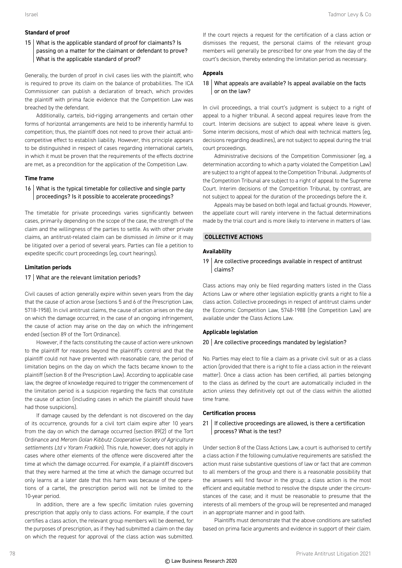#### **Standard of proof**

15 What is the applicable standard of proof for claimants? Is passing on a matter for the claimant or defendant to prove? What is the applicable standard of proof?

Generally, the burden of proof in civil cases lies with the plaintiff, who is required to prove its claim on the balance of probabilities. The ICA Commissioner can publish a declaration of breach, which provides the plaintiff with prima facie evidence that the Competition Law was breached by the defendant.

Additionally, cartels, bid-rigging arrangements and certain other forms of horizontal arrangements are held to be inherently harmful to competition; thus, the plaintiff does not need to prove their actual anticompetitive effect to establish liability. However, this principle appears to be distinguished in respect of cases regarding international cartels, in which it must be proven that the requirements of the effects doctrine are met, as a precondition for the application of the Competition Law.

#### **Time frame**

#### 16 What is the typical timetable for collective and single party proceedings? Is it possible to accelerate proceedings?

The timetable for private proceedings varies significantly between cases, primarily depending on the scope of the case, the strength of the claim and the willingness of the parties to settle. As with other private claims, an antitrust-related claim can be dismissed *in limine* or it may be litigated over a period of several years. Parties can file a petition to expedite specific court proceedings (eg, court hearings).

#### **Limitation periods**

#### 17 What are the relevant limitation periods?

Civil causes of action generally expire within seven years from the day that the cause of action arose (sections 5 and 6 of the Prescription Law, 5718-1958). In civil antitrust claims, the cause of action arises on the day on which the damage occurred; in the case of an ongoing infringement, the cause of action may arise on the day on which the infringement ended (section 89 of the Tort Ordinance).

However, if the facts constituting the cause of action were unknown to the plaintiff for reasons beyond the plaintiff's control and that the plaintiff could not have prevented with reasonable care, the period of limitation begins on the day on which the facts became known to the plaintiff (section 8 of the Prescription Law). According to applicable case law, the degree of knowledge required to trigger the commencement of the limitation period is a suspicion regarding the facts that constitute the cause of action (including cases in which the plaintiff should have had those suspicions).

If damage caused by the defendant is not discovered on the day of its occurrence, grounds for a civil tort claim expire after 10 years from the day on which the damage occurred (section 89(2) of the Tort Ordinance and *Merom Golan Kibbutz Cooperative Society of Agriculture settlements Ltd v Yoram Fradkin*). This rule, however, does not apply in cases where other elements of the offence were discovered after the time at which the damage occurred. For example, if a plaintiff discovers that they were harmed at the time at which the damage occurred but only learns at a later date that this harm was because of the operations of a cartel, the prescription period will not be limited to the 10-year period.

In addition, there are a few specific limitation rules governing prescription that apply only to class actions. For example, if the court certifies a class action, the relevant group members will be deemed, for the purposes of prescription, as if they had submitted a claim on the day on which the request for approval of the class action was submitted.

If the court rejects a request for the certification of a class action or dismisses the request, the personal claims of the relevant group members will generally be prescribed for one year from the day of the court's decision, thereby extending the limitation period as necessary.

#### **Appeals**

#### 18 What appeals are available? Is appeal available on the facts or on the law?

In civil proceedings, a trial court's judgment is subject to a right of appeal to a higher tribunal. A second appeal requires leave from the court. Interim decisions are subject to appeal where leave is given. Some interim decisions, most of which deal with technical matters (eg, decisions regarding deadlines), are not subject to appeal during the trial court proceedings.

Administrative decisions of the Competition Commissioner (eg, a determination according to which a party violated the Competition Law) are subject to a right of appeal to the Competition Tribunal. Judgments of the Competition Tribunal are subject to a right of appeal to the Supreme Court. Interim decisions of the Competition Tribunal, by contrast, are not subject to appeal for the duration of the proceedings before the it.

Appeals may be based on both legal and factual grounds. However, the appellate court will rarely intervene in the factual determinations made by the trial court and is more likely to intervene in matters of law.

#### **COLLECTIVE ACTIONS**

#### **Availability**

19  $\vert$  Are collective proceedings available in respect of antitrust claims?

Class actions may only be filed regarding matters listed in the Class Actions Law or where other legislation explicitly grants a right to file a class action. Collective proceedings in respect of antitrust claims under the Economic Competition Law, 5748-1988 (the Competition Law) are available under the Class Actions Law.

#### **Applicable legislation**

#### 20 Are collective proceedings mandated by legislation?

No. Parties may elect to file a claim as a private civil suit or as a class action (provided that there is a right to file a class action in the relevant matter). Once a class action has been certified, all parties belonging to the class as defined by the court are automatically included in the action unless they definitively opt out of the class within the allotted time frame.

#### **Certification process**

#### 21 | If collective proceedings are allowed, is there a certification process? What is the test?

Under section 8 of the Class Actions Law, a court is authorised to certify a class action if the following cumulative requirements are satisfied: the action must raise substantive questions of law or fact that are common to all members of the group and there is a reasonable possibility that the answers will find favour in the group; a class action is the most efficient and equitable method to resolve the dispute under the circumstances of the case; and it must be reasonable to presume that the interests of all members of the group will be represented and managed in an appropriate manner and in good faith.

Plaintiffs must demonstrate that the above conditions are satisfied based on prima facie arguments and evidence in support of their claim.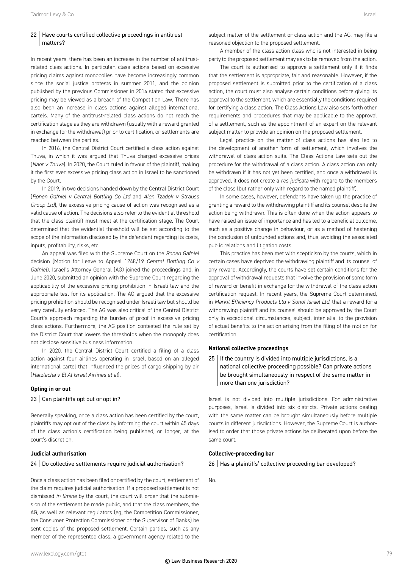#### 22 | Have courts certified collective proceedings in antitrust matters?

In recent years, there has been an increase in the number of antitrustrelated class actions. In particular, class actions based on excessive pricing claims against monopolies have become increasingly common since the social justice protests in summer 2011, and the opinion published by the previous Commissioner in 2014 stated that excessive pricing may be viewed as a breach of the Competition Law. There has also been an increase in class actions against alleged international cartels. Many of the antitrust-related class actions do not reach the certification stage as they are withdrawn (usually with a reward granted in exchange for the withdrawal) prior to certification, or settlements are reached between the parties.

In 2016, the Central District Court certified a class action against Tnuva, in which it was argued that Tnuva charged excessive prices (*Naor v Tnuva*). In 2020, the Court ruled in favour of the plaintiff, making it the first ever excessive pricing class action in Israel to be sanctioned by the Court.

In 2019, in two decisions handed down by the Central District Court (*Ronen Gafniel v Central Bottling Co Ltd* and *Alon Tzadok v Strauss Group Ltd*), the excessive pricing cause of action was recognised as a valid cause of action. The decisions also refer to the evidential threshold that the class plaintiff must meet at the certification stage. The Court determined that the evidential threshold will be set according to the scope of the information disclosed by the defendant regarding its costs, inputs, profitability, risks, etc.

An appeal was filed with the Supreme Court on the *Ronen Gafniel* decision (Motion for Leave to Appeal 1248/19 *Central Bottling Co v Gafniel*). Israel's Attorney General (AG) joined the proceedings and, in June 2020, submitted an opinion with the Supreme Court regarding the applicability of the excessive pricing prohibition in Israeli law and the appropriate test for its application. The AG argued that the excessive pricing prohibition should be recognised under Israeli law but should be very carefully enforced. The AG was also critical of the Central District Court's approach regarding the burden of proof in excessive pricing class actions. Furthermore, the AG position contested the rule set by the District Court that lowers the thresholds when the monopoly does not disclose sensitive business information.

In 2020, the Central District Court certified a filing of a class action against four airlines operating in Israel, based on an alleged international cartel that influenced the prices of cargo shipping by air (*Hatzlacha v El Al Israel Airlines et al*).

#### **Opting in or out**

#### 23 Can plaintiffs opt out or opt in?

Generally speaking, once a class action has been certified by the court, plaintiffs may opt out of the class by informing the court within 45 days of the class action's certification being published, or longer, at the court's discretion.

#### **Judicial authorisation**

#### 24 | Do collective settlements require judicial authorisation?

Once a class action has been filed or certified by the court, settlement of the claim requires judicial authorisation. If a proposed settlement is not dismissed *in limine* by the court, the court will order that the submission of the settlement be made public, and that the class members, the AG, as well as relevant regulators (eg, the Competition Commissioner, the Consumer Protection Commissioner or the Supervisor of Banks) be sent copies of the proposed settlement. Certain parties, such as any member of the represented class, a government agency related to the subject matter of the settlement or class action and the AG, may file a reasoned objection to the proposed settlement.

A member of the class action class who is not interested in being party to the proposed settlement may ask to be removed from the action.

The court is authorised to approve a settlement only if it finds that the settlement is appropriate, fair and reasonable. However, if the proposed settlement is submitted prior to the certification of a class action, the court must also analyse certain conditions before giving its approval to the settlement, which are essentially the conditions required for certifying a class action. The Class Actions Law also sets forth other requirements and procedures that may be applicable to the approval of a settlement, such as the appointment of an expert on the relevant subject matter to provide an opinion on the proposed settlement.

Legal practice on the matter of class actions has also led to the development of another form of settlement, which involves the withdrawal of class action suits. The Class Actions Law sets out the procedure for the withdrawal of a class action. A class action can only be withdrawn if it has not yet been certified, and once a withdrawal is approved, it does not create a *res judicata* with regard to the members of the class (but rather only with regard to the named plaintiff).

In some cases, however, defendants have taken up the practice of granting a reward to the withdrawing plaintiff and its counsel despite the action being withdrawn. This is often done when the action appears to have raised an issue of importance and has led to a beneficial outcome, such as a positive change in behaviour, or as a method of hastening the conclusion of unfounded actions and, thus, avoiding the associated public relations and litigation costs.

This practice has been met with scepticism by the courts, which in certain cases have deprived the withdrawing plaintiff and its counsel of any reward. Accordingly, the courts have set certain conditions for the approval of withdrawal requests that involve the provision of some form of reward or benefit in exchange for the withdrawal of the class action certification request. In recent years, the Supreme Court determined, in *Markit Efficiency Products Ltd v Sonol Israel Ltd*, that a reward for a withdrawing plaintiff and its counsel should be approved by the Court only in exceptional circumstances, subject, inter alia, to the provision of actual benefits to the action arising from the filing of the motion for certification.

#### **National collective proceedings**

 $25$  | If the country is divided into multiple jurisdictions, is a national collective proceeding possible? Can private actions be brought simultaneously in respect of the same matter in more than one jurisdiction?

Israel is not divided into multiple jurisdictions. For administrative purposes, Israel is divided into six districts. Private actions dealing with the same matter can be brought simultaneously before multiple courts in different jurisdictions. However, the Supreme Court is authorised to order that those private actions be deliberated upon before the same court.

#### **Collective-proceeding bar**

26 | Has a plaintiffs' collective-proceeding bar developed?

No.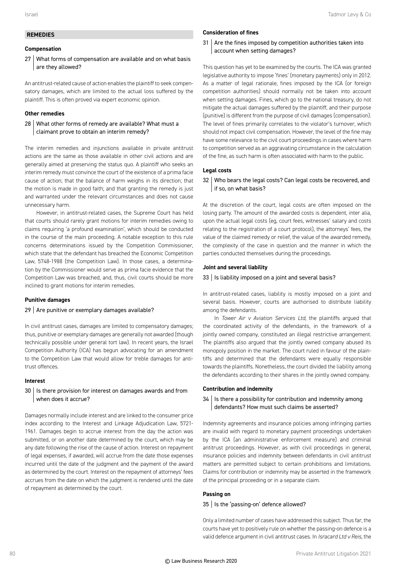#### **REMEDIES**

#### **Compensation**

27 What forms of compensation are available and on what basis are they allowed?

An antitrust-related cause of action enables the plaintiff to seek compensatory damages, which are limited to the actual loss suffered by the plaintiff. This is often proved via expert economic opinion.

#### **Other remedies**

28 What other forms of remedy are available? What must a claimant prove to obtain an interim remedy?

The interim remedies and injunctions available in private antitrust actions are the same as those available in other civil actions and are generally aimed at preserving the status quo. A plaintiff who seeks an interim remedy must convince the court of the existence of a prima facie cause of action; that the balance of harm weighs in its direction; that the motion is made in good faith; and that granting the remedy is just and warranted under the relevant circumstances and does not cause unnecessary harm.

However, in antitrust-related cases, the Supreme Court has held that courts should rarely grant motions for interim remedies owing to claims requiring 'a profound examination', which should be conducted in the course of the main proceeding. A notable exception to this rule concerns determinations issued by the Competition Commissioner, which state that the defendant has breached the Economic Competition Law, 5748-1988 (the Competition Law). In those cases, a determination by the Commissioner would serve as prima facie evidence that the Competition Law was breached, and, thus, civil courts should be more inclined to grant motions for interim remedies.

#### **Punitive damages**

#### $29$  Are punitive or exemplary damages available?

In civil antitrust cases, damages are limited to compensatory damages; thus, punitive or exemplary damages are generally not awarded (though technically possible under general tort law). In recent years, the Israel Competition Authority (ICA) has begun advocating for an amendment to the Competition Law that would allow for treble damages for antitrust offences.

#### **Interest**

#### 30 | Is there provision for interest on damages awards and from when does it accrue?

Damages normally include interest and are linked to the consumer price index according to the Interest and Linkage Adjudication Law, 5721- 1961. Damages begin to accrue interest from the day the action was submitted, or on another date determined by the court, which may be any date following the rise of the cause of action. Interest on repayment of legal expenses, if awarded, will accrue from the date those expenses incurred until the date of the judgment and the payment of the award as determined by the court. Interest on the repayment of attorneys' fees accrues from the date on which the judgment is rendered until the date of repayment as determined by the court.

#### **Consideration of fines**

31 Are the fines imposed by competition authorities taken into account when setting damages?

This question has yet to be examined by the courts. The ICA was granted legislative authority to impose 'fines' (monetary payments) only in 2012. As a matter of legal rationale, fines imposed by the ICA (or foreign competition authorities) should normally not be taken into account when setting damages. Fines, which go to the national treasury, do not mitigate the actual damages suffered by the plaintiff, and their purpose (punitive) is different from the purpose of civil damages (compensation). The level of fines primarily correlates to the violator's turnover, which should not impact civil compensation. However, the level of the fine may have some relevance to the civil court proceedings in cases where harm to competition served as an aggravating circumstance in the calculation of the fine, as such harm is often associated with harm to the public.

#### **Legal costs**

#### 32 Who bears the legal costs? Can legal costs be recovered, and if so, on what basis?

At the discretion of the court, legal costs are often imposed on the losing party. The amount of the awarded costs is dependent, inter alia, upon the actual legal costs (eg, court fees, witnesses' salary and costs relating to the registration of a court protocol), the attorneys' fees, the value of the claimed remedy or relief, the value of the awarded remedy, the complexity of the case in question and the manner in which the parties conducted themselves during the proceedings.

#### **Joint and several liability**

#### $33$  | Is liability imposed on a joint and several basis?

In antitrust-related cases, liability is mostly imposed on a joint and several basis. However, courts are authorised to distribute liability among the defendants.

In *Tower Air v Aviation Services Ltd,* the plaintiffs argued that the coordinated activity of the defendants, in the framework of a jointly owned company, constituted an illegal restrictive arrangement. The plaintiffs also argued that the jointly owned company abused its monopoly position in the market. The court ruled in favour of the plaintiffs and determined that the defendants were equally responsible towards the plaintiffs. Nonetheless, the court divided the liability among the defendants according to their shares in the jointly owned company.

#### **Contribution and indemnity**

34 | Is there a possibility for contribution and indemnity among defendants? How must such claims be asserted?

Indemnity agreements and insurance policies among infringing parties are invalid with regard to monetary payment proceedings undertaken by the ICA (an administrative enforcement measure) and criminal antitrust proceedings. However, as with civil proceedings in general, insurance policies and indemnity between defendants in civil antitrust matters are permitted subject to certain prohibitions and limitations. Claims for contribution or indemnity may be asserted in the framework of the principal proceeding or in a separate claim.

#### **Passing on**

#### 35 | Is the 'passing-on' defence allowed?

Only a limited number of cases have addressed this subject. Thus far, the courts have yet to positively rule on whether the passing-on defence is a valid defence argument in civil antitrust cases. In *Isracard Ltd v Reis,* the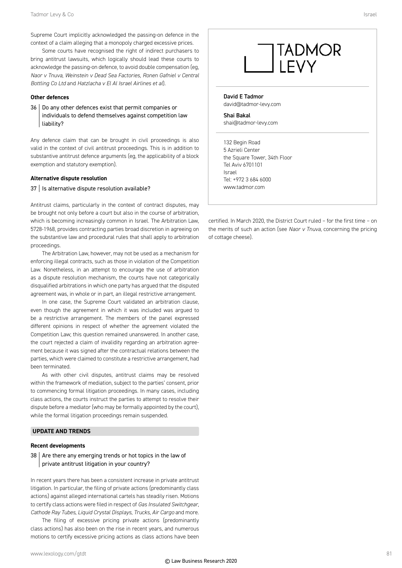Supreme Court implicitly acknowledged the passing-on defence in the context of a claim alleging that a monopoly charged excessive prices.

Some courts have recognised the right of indirect purchasers to bring antitrust lawsuits, which logically should lead these courts to acknowledge the passing-on defence, to avoid double compensation (eg, *Naor v Tnuva*, *Weinstein v Dead Sea Factories*, *Ronen Gafniel v Central Bottling Co Ltd* and *Hatzlacha v El Al Israel Airlines et al*).

#### **Other defences**

36 Do any other defences exist that permit companies or individuals to defend themselves against competition law liability?

Any defence claim that can be brought in civil proceedings is also valid in the context of civil antitrust proceedings. This is in addition to substantive antitrust defence arguments (eg, the applicability of a block exemption and statutory exemption).

#### **Alternative dispute resolution**

#### $37$  | Is alternative dispute resolution available?

Antitrust claims, particularly in the context of contract disputes, may be brought not only before a court but also in the course of arbitration, which is becoming increasingly common in Israel. The Arbitration Law, 5728-1968, provides contracting parties broad discretion in agreeing on the substantive law and procedural rules that shall apply to arbitration proceedings.

The Arbitration Law, however, may not be used as a mechanism for enforcing illegal contracts, such as those in violation of the Competition Law. Nonetheless, in an attempt to encourage the use of arbitration as a dispute resolution mechanism, the courts have not categorically disqualified arbitrations in which one party has argued that the disputed agreement was, in whole or in part, an illegal restrictive arrangement.

In one case, the Supreme Court validated an arbitration clause, even though the agreement in which it was included was argued to be a restrictive arrangement. The members of the panel expressed different opinions in respect of whether the agreement violated the Competition Law; this question remained unanswered. In another case, the court rejected a claim of invalidity regarding an arbitration agreement because it was signed after the contractual relations between the parties, which were claimed to constitute a restrictive arrangement, had been terminated.

As with other civil disputes, antitrust claims may be resolved within the framework of mediation, subject to the parties' consent, prior to commencing formal litigation proceedings. In many cases, including class actions, the courts instruct the parties to attempt to resolve their dispute before a mediator (who may be formally appointed by the court), while the formal litigation proceedings remain suspended.

#### **UPDATE AND TRENDS**

#### **Recent developments**

#### $38$  Are there any emerging trends or hot topics in the law of private antitrust litigation in your country?

In recent years there has been a consistent increase in private antitrust litigation. In particular, the filing of private actions (predominantly class actions) against alleged international cartels has steadily risen. Motions to certify class actions were filed in respect of *Gas Insulated Switchgear*, *Cathode Ray Tubes*, *Liquid Crystal Displays*, *Trucks*, *Air Cargo* and more.

The filing of excessive pricing private actions (predominantly class actions) has also been on the rise in recent years, and numerous motions to certify excessive pricing actions as class actions have been

#### David E Tadmor david@tadmor-levy.com

Shai Bakal shai@tadmor-levy.com

132 Begin Road 5 Azrieli Center the Square Tower, 34th Floor Tel Aviv 6701101 Israel Tel: +972 3 684 6000 www.tadmor.com

certified. In March 2020, the District Court ruled – for the first time – on the merits of such an action (see *Naor v Tnuva*, concerning the pricing of cottage cheese).